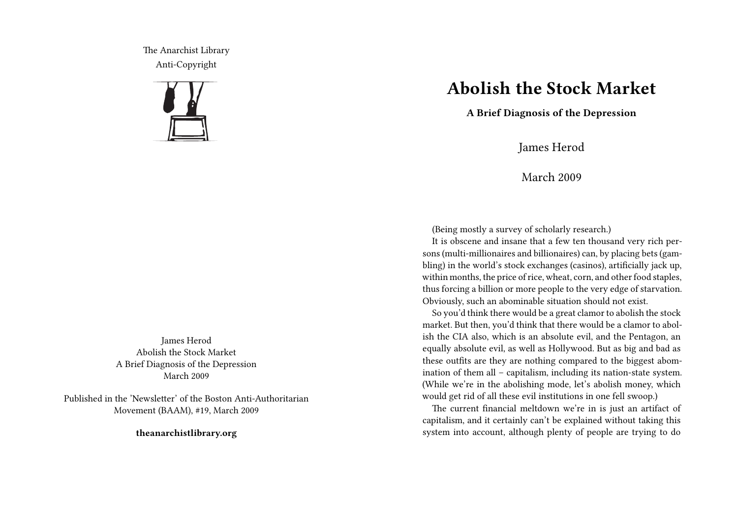The Anarchist Library Anti-Copyright



James Herod Abolish the Stock Market A Brief Diagnosis of the Depression March 2009

Published in the 'Newsletter' of the Boston Anti-Authoritarian Movement (BAAM), #19, March 2009

**theanarchistlibrary.org**

## **Abolish the Stock Market**

**A Brief Diagnosis of the Depression**

James Herod

March 2009

(Being mostly a survey of scholarly research.)

It is obscene and insane that a few ten thousand very rich persons (multi-millionaires and billionaires) can, by placing bets (gambling) in the world's stock exchanges (casinos), artificially jack up, within months, the price of rice, wheat, corn, and other food staples, thus forcing a billion or more people to the very edge of starvation. Obviously, such an abominable situation should not exist.

So you'd think there would be a great clamor to abolish the stock market. But then, you'd think that there would be a clamor to abolish the CIA also, which is an absolute evil, and the Pentagon, an equally absolute evil, as well as Hollywood. But as big and bad as these outfits are they are nothing compared to the biggest abomination of them all – capitalism, including its nation-state system. (While we're in the abolishing mode, let's abolish money, which would get rid of all these evil institutions in one fell swoop.)

The current financial meltdown we're in is just an artifact of capitalism, and it certainly can't be explained without taking this system into account, although plenty of people are trying to do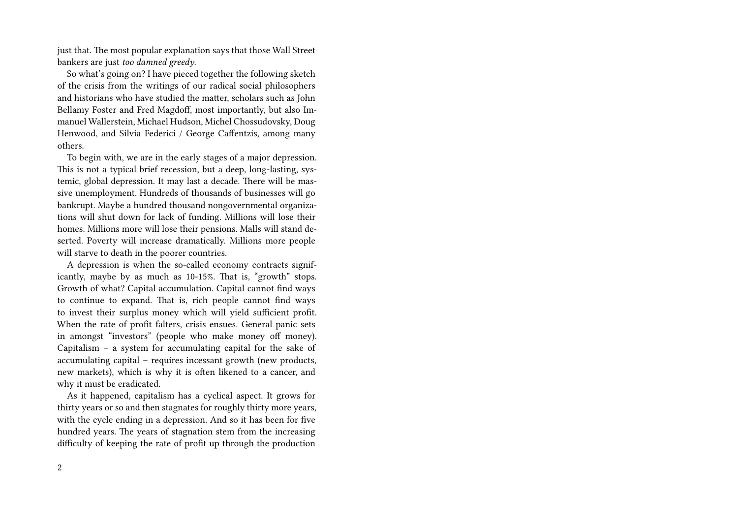just that. The most popular explanation says that those Wall Street bankers are just *too damned greedy*.

So what's going on? I have pieced together the following sketch of the crisis from the writings of our radical social philosophers and historians who have studied the matter, scholars such as John Bellamy Foster and Fred Magdoff, most importantly, but also Immanuel Wallerstein, Michael Hudson, Michel Chossudovsky, Doug Henwood, and Silvia Federici / George Caffentzis, among many others.

To begin with, we are in the early stages of a major depression. This is not a typical brief recession, but a deep, long-lasting, systemic, global depression. It may last a decade. There will be massive unemployment. Hundreds of thousands of businesses will go bankrupt. Maybe a hundred thousand nongovernmental organizations will shut down for lack of funding. Millions will lose their homes. Millions more will lose their pensions. Malls will stand deserted. Poverty will increase dramatically. Millions more people will starve to death in the poorer countries.

A depression is when the so-called economy contracts significantly, maybe by as much as 10-15%. That is, "growth" stops. Growth of what? Capital accumulation. Capital cannot find ways to continue to expand. That is, rich people cannot find ways to invest their surplus money which will yield sufficient profit. When the rate of profit falters, crisis ensues. General panic sets in amongst "investors" (people who make money off money). Capitalism – a system for accumulating capital for the sake of accumulating capital – requires incessant growth (new products, new markets), which is why it is often likened to a cancer, and why it must be eradicated.

As it happened, capitalism has a cyclical aspect. It grows for thirty years or so and then stagnates for roughly thirty more years, with the cycle ending in a depression. And so it has been for five hundred years. The years of stagnation stem from the increasing difficulty of keeping the rate of profit up through the production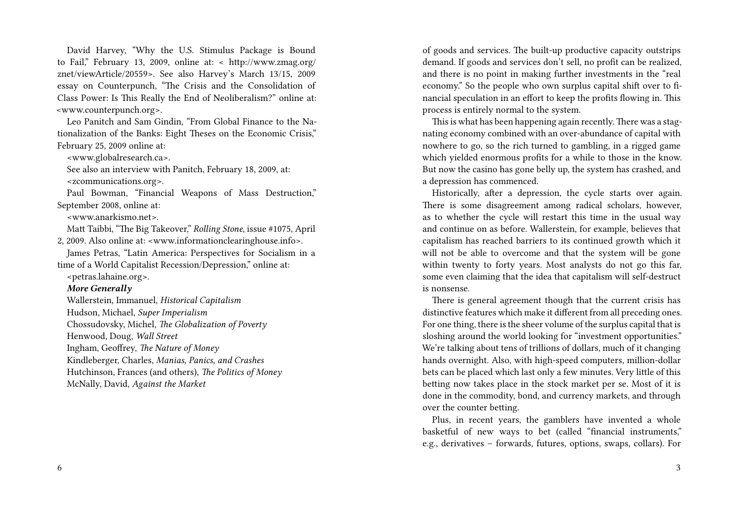David Harvey, "Why the U.S. Stimulus Package is Bound to Fail," February 13, 2009, online at: < http://www.zmag.org/ znet/viewArticle/20559>. See also Harvey's March 13/15, 2009 essay on Counterpunch, "The Crisis and the Consolidation of Class Power: Is This Really the End of Neoliberalism?" online at: <www.counterpunch.org>.

Leo Panitch and Sam Gindin, "From Global Finance to the Nationalization of the Banks: Eight Theses on the Economic Crisis," February 25, 2009 online at:

<www.globalresearch.ca>.

See also an interview with Panitch, February 18, 2009, at: <zcommunications.org>.

Paul Bowman, "Financial Weapons of Mass Destruction," September 2008, online at:

<www.anarkismo.net>.

Matt Taibbi, "The Big Takeover," *Rolling Stone*, issue #1075, April 2, 2009. Also online at: <www.informationclearinghouse.info>.

James Petras, "Latin America: Perspectives for Socialism in a time of a World Capitalist Recession/Depression," online at:

<petras.lahaine.org>.

## *More Generally*

Wallerstein, Immanuel, *Historical Capitalism* Hudson, Michael, *Super Imperialism* Chossudovsky, Michel, *The Globalization of Poverty* Henwood, Doug, *Wall Street* Ingham, Geoffrey, *The Nature of Money* Kindleberger, Charles, *Manias, Panics, and Crashes*

Hutchinson, Frances (and others), *The Politics of Money*

McNally, David, *Against the Market*

of goods and services. The built-up productive capacity outstrips demand. If goods and services don't sell, no profit can be realized, and there is no point in making further investments in the "real economy." So the people who own surplus capital shift over to financial speculation in an effort to keep the profits flowing in. This process is entirely normal to the system.

This is what has been happening again recently.There was a stagnating economy combined with an over-abundance of capital with nowhere to go, so the rich turned to gambling, in a rigged game which yielded enormous profits for a while to those in the know. But now the casino has gone belly up, the system has crashed, and a depression has commenced.

Historically, after a depression, the cycle starts over again. There is some disagreement among radical scholars, however, as to whether the cycle will restart this time in the usual way and continue on as before. Wallerstein, for example, believes that capitalism has reached barriers to its continued growth which it will not be able to overcome and that the system will be gone within twenty to forty years. Most analysts do not go this far, some even claiming that the idea that capitalism will self-destruct is nonsense.

There is general agreement though that the current crisis has distinctive features which make it different from all preceding ones. For one thing, there is the sheer volume of the surplus capital that is sloshing around the world looking for "investment opportunities." We're talking about tens of trillions of dollars, much of it changing hands overnight. Also, with high-speed computers, million-dollar bets can be placed which last only a few minutes. Very little of this betting now takes place in the stock market per se. Most of it is done in the commodity, bond, and currency markets, and through over the counter betting.

Plus, in recent years, the gamblers have invented a whole basketful of new ways to bet (called "financial instruments," e.g., derivatives – forwards, futures, options, swaps, collars). For